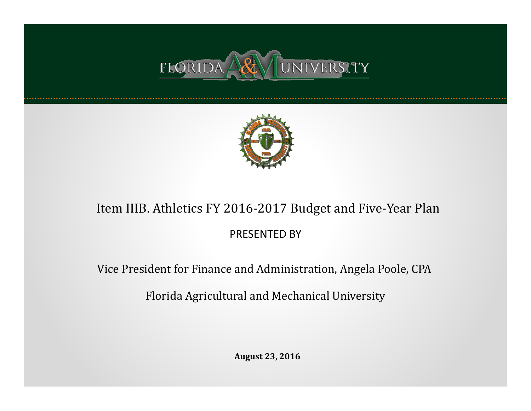



### Item IIIB. Athletics FY 2016-2017 Budget and Five-Year Plan

### PRESENTED BY

Vice President for Finance and Administration, Angela Poole, CPA

Florida Agricultural and Mechanical University

**August 23, 2016**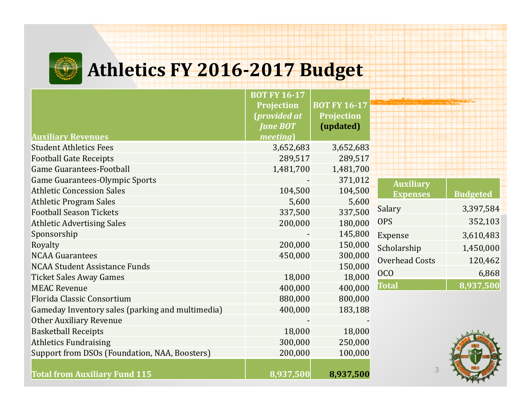## **Athletics FY 2016‐2017 Budget**

|                                                  | <b>BOT FY 16-17</b> |                     |                       |                 |
|--------------------------------------------------|---------------------|---------------------|-----------------------|-----------------|
|                                                  | <b>Projection</b>   | <b>BOT FY 16-17</b> |                       |                 |
|                                                  | (provided at        | <b>Projection</b>   |                       |                 |
|                                                  | <b>June BOT</b>     | (updated)           |                       |                 |
| <b>Auxiliary Revenues</b>                        | <i>meeting</i>      |                     |                       |                 |
| <b>Student Athletics Fees</b>                    | 3,652,683           | 3,652,683           |                       |                 |
| <b>Football Gate Receipts</b>                    | 289,517             | 289,517             |                       |                 |
| <b>Game Guarantees-Football</b>                  | 1,481,700           | 1,481,700           |                       |                 |
| <b>Game Guarantees-Olympic Sports</b>            |                     | 371,012             | <b>Auxiliary</b>      |                 |
| <b>Athletic Concession Sales</b>                 | 104,500             | 104,500             | <b>Expenses</b>       | <b>Budgeted</b> |
| <b>Athletic Program Sales</b>                    | 5,600               | 5,600               |                       |                 |
| <b>Football Season Tickets</b>                   | 337,500             | 337,500             | Salary                | 3,397,584       |
| <b>Athletic Advertising Sales</b>                | 200,000             | 180,000             | <b>OPS</b>            | 352,103         |
| Sponsorship                                      |                     | 145,800             | <b>Expense</b>        | 3,610,483       |
| Royalty                                          | 200,000             | 150,000             | Scholarship           | 1,450,000       |
| <b>NCAA Guarantees</b>                           | 450,000             | 300,000             | <b>Overhead Costs</b> | 120,462         |
| <b>NCAA Student Assistance Funds</b>             |                     | 150,000             |                       |                 |
| <b>Ticket Sales Away Games</b>                   | 18,000              | 18,000              | <b>OCO</b>            | 6,868           |
| <b>MEAC Revenue</b>                              | 400,000             | 400,000             | <b>Total</b>          | 8,937,500       |
| Florida Classic Consortium                       | 880,000             | 800,000             |                       |                 |
| Gameday Inventory sales (parking and multimedia) | 400,000             | 183,188             |                       |                 |
| <b>Other Auxiliary Revenue</b>                   |                     |                     |                       |                 |
| <b>Basketball Receipts</b>                       | 18,000              | 18,000              |                       |                 |
| <b>Athletics Fundraising</b>                     | 300,000             | 250,000             |                       |                 |
| Support from DSOs (Foundation, NAA, Boosters)    | 200,000             | 100,000             |                       |                 |
| <b>Total from Auxiliary Fund 115</b>             | 8,937,500           | 8,937,500           | 3                     |                 |

**The Second Second**